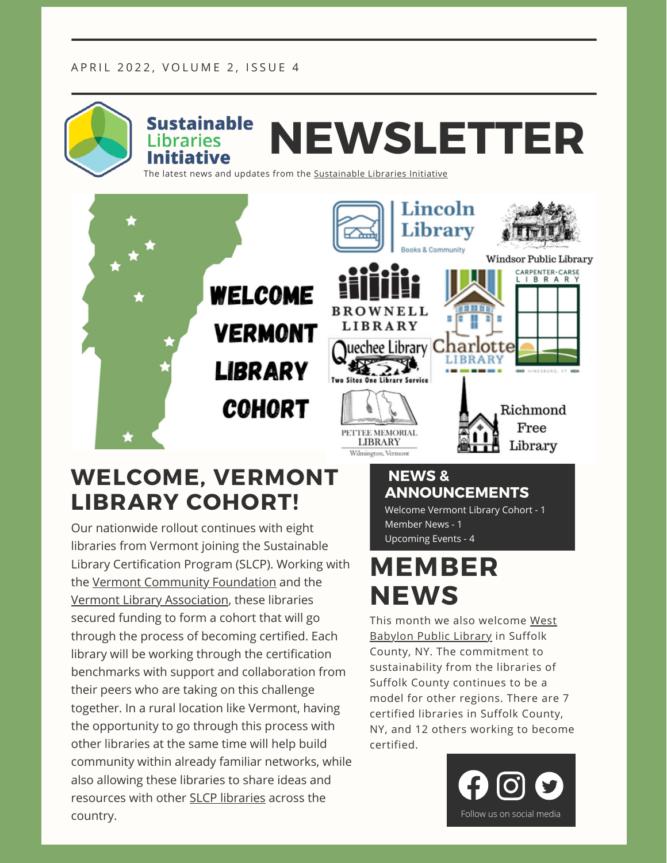#### APRIL 2022, VOLUME 2, ISSUE 4



#### **WELCOME, VERMONT LIBRARY COHORT!**

Our nationwide rollout continues with eight libraries from Vermont joining the Sustainable Library Certification Program (SLCP). Working with the Vermont [Community](https://www.vermontcf.org/) Foundation and the Vermont Library [Association,](https://www.vermontlibraries.org/) these libraries secured funding to form a cohort that will go through the process of becoming certified. Each library will be working through the certification benchmarks with support and collaboration from their peers who are taking on this challenge together. In a rural location like Vermont, having the opportunity to go through this process with other libraries at the same time will help build community within already familiar networks, while also allowing these libraries to share ideas and resources with other SLCP [libraries](https://sustainablelibrariesinitiative.org/node/3828) across the **COUNTY.** Follow us on social media

#### **NEWS & ANNOUNCEMENTS**

Welcome Vermont Library Cohort - 1 Member News - 1 Upcoming Events - 4

### **MEMBER NEWS**

This month we also [welcome](https://wbab.suffolk.lib.ny.us/) West Babylon Public Library in Suffolk County, NY. The commitment to sustainability from the libraries of Suffolk County continues to be a model for other regions. There are 7 certified libraries in Suffolk County, NY, and 12 others working to become certified.

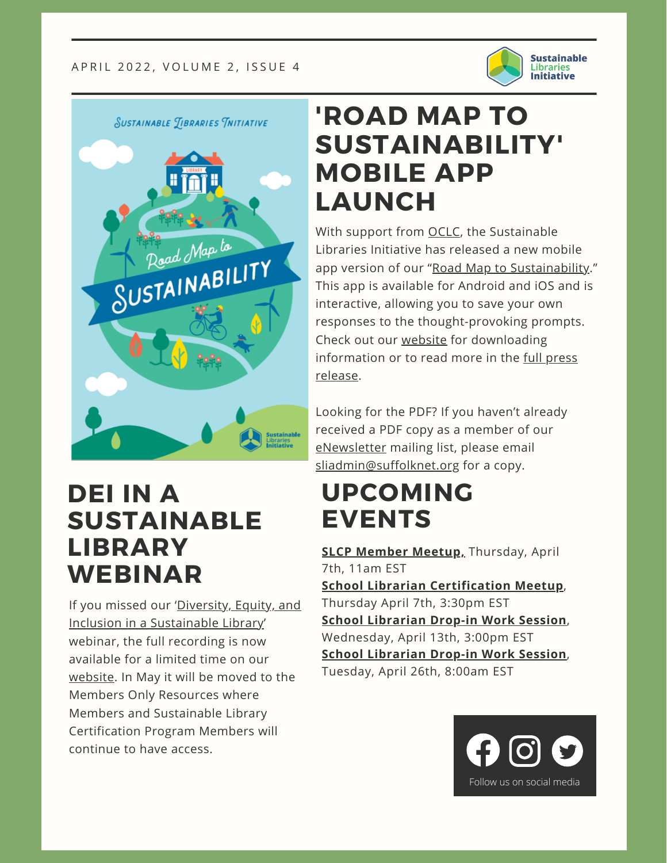

**SUSTAINABLE TIBRARIES TNITIATIVE** 



#### **'ROAD MAP TO SUSTAINABILITY' MOBILE APP LAUNCH**

With support from [OCLC,](https://www.oclc.org/en/home.html) the Sustainable Libraries Initiative has released a new mobile app version of our "Road Map to [Sustainability.](https://sustainablelibrariesinitiative.org/resources/professional-development/roadmap)" This app is available for Android and iOS and is interactive, allowing you to save your own responses to the thought-provoking prompts. Check out our [website](https://sustainablelibrariesinitiative.org/resources/professional-development/roadmap) for downloading [information](https://sustainablelibrariesinitiative.org/news/road-map-sustainability-app-release) or to read more in the full press release.

Looking for the PDF? If you haven't already received a PDF copy as a member of our [eNewsletter](https://sustainablelibrariesinitiative.org/sustainable-libraries-initiative-newsletter) mailing list, please email [sliadmin@suffolknet.org](mailto:sliadmin@suffolknet.org) for a copy.

#### **UPCOMING EVENTS**

**SLCP [Member](https://sustainablelibrariesinitiative.org/events/online-meet-19-slcp-participants) Meetup,** [Thursday,](https://sustainablelibrariesinitiative.org/events/online-meet-19-slcp-participants) April 7th, 11am EST **School Librarian [Certification](https://sustainablelibrariesinitiative.org/events/school-librarian-certification-meet-2) Meetup**, Thursday April 7th, 3:30pm EST **School [Librarian](https://sustainablelibrariesinitiative.org/events/school-librarian-certification-meet-2) Drop-in Work Session**, Wednesday, April 13th, 3:00pm EST **School [Librarian](https://sustainablelibrariesinitiative.org/event/school-librarian-drop-work-session-5) Drop-in Work Session**, Tuesday, April 26th, 8:00am EST



#### **DEI IN A SUSTAINABLE LIBRARY WEBINAR**

If you missed our 'Diversity, Equity, and Inclusion in a [Sustainable](https://sustainablelibrariesinitiative.org/diversity-equity-and-inclusion-sustainable-library-webinar) Library' webinar, the full recording is now available for a limited time on our [website](https://sustainablelibrariesinitiative.org/diversity-equity-and-inclusion-sustainable-library-webinar). In May it will be moved to the Members Only Resources where Members and Sustainable Library Certification Program Members will continue to have access.